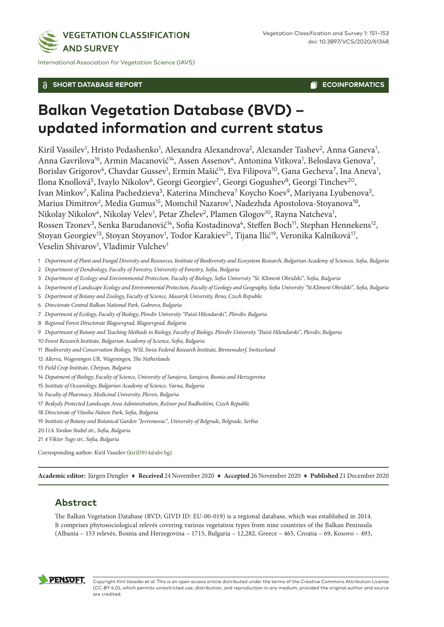

International Association for Vegetation Science (IAVS)

#### **SHORT DATABASE REPORT**

**ECOINFORMATICS** 

# **Balkan Vegetation Database (BVD) – updated information and current status**

Kiril Vassilev<sup>1</sup>, Hristo Pedashenko<sup>1</sup>, Alexandra Alexandrova<sup>2</sup>, Alexander Tashev<sup>2</sup>, Anna Ganeva<sup>1</sup>, Anna Gavrilova<sup>16</sup>, Armin Macanović<sup>14</sup>, Assen Assenov<sup>4</sup>, Antonina Vitkova<sup>1</sup>, Beloslava Genova<sup>7</sup>, Borislav Grigorov<sup>4</sup>, Chavdar Gussev<sup>1</sup>, Ermin Mašić<sup>14</sup>, Eva Filipova<sup>10</sup>, Gana Gecheva<sup>7</sup>, Ina Aneva<sup>1</sup>, Ilona Knollová<sup>5</sup>, Ivaylo Nikolov<sup>6</sup>, Georgi Georgiev<sup>7</sup>, Georgi Gogushev<sup>8</sup>, Georgi Tinchev<sup>20</sup>, Ivan Minkov<sup>7</sup>, Kalina Pachedzieva<sup>3</sup>, Katerina Mincheva<sup>7</sup> Koycho Koev<sup>9</sup>, Mariyana Lyubenova<sup>3</sup>, Marius Dimitrov<sup>2</sup>, Media Gumus<sup>15</sup>, Momchil Nazarov<sup>1</sup>, Nadezhda Apostolova-Stoyanova<sup>18</sup>, Nikolay Nikolov<sup>4</sup>, Nikolay Velev<sup>1</sup>, Petar Zhelev<sup>2</sup>, Plamen Glogov<sup>10</sup>, Rayna Natcheva<sup>1</sup>, Rossen Tzonev<sup>3</sup>, Senka Barudanović<sup>14</sup>, Sofia Kostadinova<sup>4</sup>, Steffen Boch<sup>11</sup>, Stephan Hennekens<sup>12</sup>, Stoyan Georgiev<sup>13</sup>, Stoyan Stoyanov<sup>1</sup>, Todor Karakiev<sup>21</sup>, Tijana Ilić<sup>19</sup>, Veronika Kalníková<sup>17</sup>, Veselin Shivarov<sup>1</sup>, Vladimir Vulchev<sup>1</sup>

- 1 *Department of Plant and Fungal Diversity and Resources, Institute of Biodiversity and Ecosystem Research, Bulgarian Academy of Sciences, Sofia, Bulgaria*
- 2 *Department of Dendrology, Faculty of Forestry, University of Forestry, Sofia, Bulgaria*
- 3 *Department of Ecology and Environmental Protection, Faculty of Biology, Sofia University "St. Kliment Ohridski", Sofia, Bulgaria*
- 4 *Department of Landscape Еcology and Environmental Protection, Faculty of Geology and Geography, Sofia University "St.Kliment Ohridski", Sofia, Bulgaria*
- 5 *Department of Botany and Zoology, Faculty of Science, Masaryk University, Brno, Czech Republic*
- 6 *Directorate Central Balkan National Park, Gabrovo, Bulgaria*
- 7 *Department of Ecology, Faculty of Biology, Plovdiv University "Paisii Hilendarski", Plovdiv, Bulgaria*
- 8 *Regional Forest Directorate Blagoevgrad, Blagoevgrad, Bulgaria*
- 9 *Departmant of Botany and Teaching Methods in Biology, Faculty of Biology, Plovdiv University "Paisii Hilendarski", Plovdiv, Bulgaria*
- 10 *Forest Research Institute, Bulgarian Academy of Science, Sofia, Bulgaria*
- 11 *Biodiversity and Conservation Biology, WSL Swiss Federal Research Institute, Birmensdorf, Switzerland*
- 12 *Alterra, Wageningen UR, Wageningen, The Netherlands*
- 13 *Field Crop Institute, Chirpan, Bulgaria*
- 14 *Depatment of Biology, Faculty of Science, University of Sarajevo, Sarajevo, Bosnia and Herzegovina*
- 15 *Institute of Oceanology, Bulgarian Academy of Science, Varna, Bulgaria*
- 16 *Faculty of Pharmacy, Medicinal University, Pleven, Bulgaria*
- 17 *Beskydy Protected Landscape Area Administration, Rožnov pod Radhoštěm, Czech Republic*
- 18 *Directorate of Vitosha Nature Park, Sofia, Bulgaria*
- 19 *Institute of Botany and Botanical Garden "Jevremovac", University of Belgrade, Belgrade, Serbia*
- 20*11A Yordan Stubel str., Sofia, Bulgaria*
- 21 *4 Viktor Yugo str., Sofia, Bulgaria*

Corresponding author: Kiril Vassilev [\(kiril5914@abv.bg\)](mailto:kiril5914@abv.bg)

**Academic editor:** Jürgen Dengler ♦ **Received** 24 November 2020 ♦ **Accepted** 26 November 2020 ♦ **Published** 21 December 2020

### **Abstract**

The Balkan Vegetation Database (BVD; GIVD ID: EU-00-019) is a regional database, which was established in 2014. It comprises phytosociological relevés covering various vegetation types from nine countries of the Balkan Peninsula (Albania – 153 relevés, Bosnia and Herzegovina – 1715, Bulgaria – 12,282, Greece – 465, Croatia – 69, Kosovo – 493,



Copyright *Kiril Vassilev et al.* This is an open access article distributed under the terms of the Creative Commons Attribution License (CC-BY 4.0), which permits unrestricted use, distribution, and reproduction in any medium, provided the original author and source are credited.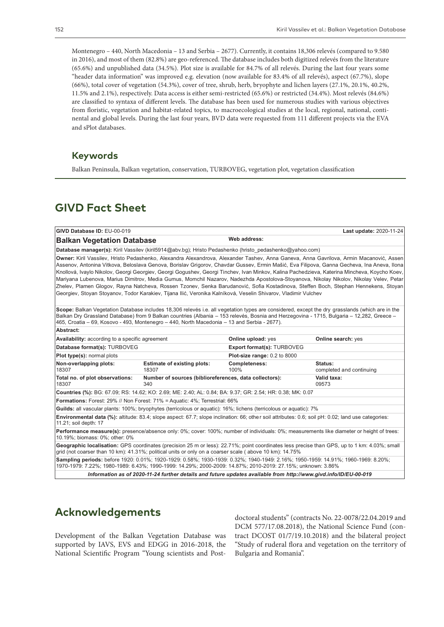Montenegro – 440, North Macedonia – 13 and Serbia – 2677). Currently, it contains 18,306 relevés (compared to 9.580 in 2016), and most of them (82.8%) are geo-referenced. The database includes both digitized relevés from the literature (65.6%) and unpublished data (34.5%). Plot size is available for 84.7% of all relevés. During the last four years some "header data information" was improved e.g. elevation (now available for 83.4% of all relevés), aspect (67.7%), slope (66%), total cover of vegetation (54.3%), cover of tree, shrub, herb, bryophyte and lichen layers (27.1%, 20.1%, 40.2%, 11.5% and 2.1%), respectively. Data access is either semi-restricted (65.6%) or restricted (34.4%). Most relevés (84.6%) are classified to syntaxa of different levels. The database has been used for numerous studies with various objectives from floristic, vegetation and habitat-related topics, to macroecological studies at the local, regional, national, continental and global levels. During the last four years, BVD data were requested from 111 different projects via the EVA and sPlot databases.

#### **Keywords**

Balkan Peninsula, Balkan vegetation, conservation, TURBOVEG, vegetation plot, vegetation classification

# **GIVD Fact Sheet**

| GIVD Database ID: EU-00-019                                                                                                                                                                                                                                                                                                                                                                                                                                                                                                                                                                                                                                                                                                                                                                                                                    |                                                               |                                   | Last update: 2020-11-24             |
|------------------------------------------------------------------------------------------------------------------------------------------------------------------------------------------------------------------------------------------------------------------------------------------------------------------------------------------------------------------------------------------------------------------------------------------------------------------------------------------------------------------------------------------------------------------------------------------------------------------------------------------------------------------------------------------------------------------------------------------------------------------------------------------------------------------------------------------------|---------------------------------------------------------------|-----------------------------------|-------------------------------------|
| Web address:<br><b>Balkan Vegetation Database</b>                                                                                                                                                                                                                                                                                                                                                                                                                                                                                                                                                                                                                                                                                                                                                                                              |                                                               |                                   |                                     |
| Database manager(s): Kiril Vassilev (kiril5914@abv.bg); Hristo Pedashenko (hristo_pedashenko@yahoo.com)                                                                                                                                                                                                                                                                                                                                                                                                                                                                                                                                                                                                                                                                                                                                        |                                                               |                                   |                                     |
| <b>Owner:</b> Kiril Vassilev, Hristo Pedashenko, Alexandra Alexandrova, Alexander Tashev, Anna Ganeva, Anna Gavrilova, Armin Macanović, Assen<br>Assenov, Antonina Vitkova, Beloslava Genova, Borislav Grigorov, Chavdar Gussev, Ermin Mašić, Eva Filipova, Ganna Gecheva, Ina Aneva, Ilona<br>Knollová, Ivaylo Nikolov, Georgi Georgiev, Georgi Gogushev, Georgi Tinchev, Ivan Minkov, Kalina Pachedzieva, Katerina Mincheva, Koycho Koev,<br>Mariyana Lubenova, Marius Dimitrov, Media Gumus, Momchil Nazarov, Nadezhda Apostolova-Stoyanova, Nikolay Nikolov, Nikolay Velev, Petar<br>Zhelev, Plamen Glogov, Rayna Natcheva, Rossen Tzonev, Senka Barudanović, Sofia Kostadinova, Steffen Boch, Stephan Hennekens, Stoyan<br>Georgiev, Stoyan Stoyanov, Todor Karakiev, Tijana Ilić, Veronika Kalníková, Veselin Shivarov, Vladimir Vulchev |                                                               |                                   |                                     |
| Scope: Balkan Vegetation Database includes 18,306 relevés i.e. all vegetation types are considered, except the dry grasslands (which are in the<br>Balkan Dry Grassland Database) from 9 Balkan countries (Albania – 153 relevés, Bosnia and Herzegovina - 1715, Bulgaria – 12,282, Greece –<br>465, Croatia – 69, Kosovo - 493, Montenegro – 440, North Macedonia – 13 and Serbia - 2677).                                                                                                                                                                                                                                                                                                                                                                                                                                                    |                                                               |                                   |                                     |
| Abstract:                                                                                                                                                                                                                                                                                                                                                                                                                                                                                                                                                                                                                                                                                                                                                                                                                                      |                                                               |                                   |                                     |
| <b>Availability:</b> according to a specific agreement                                                                                                                                                                                                                                                                                                                                                                                                                                                                                                                                                                                                                                                                                                                                                                                         |                                                               | Online upload: yes                | Online search: yes                  |
| Database format(s): TURBOVEG                                                                                                                                                                                                                                                                                                                                                                                                                                                                                                                                                                                                                                                                                                                                                                                                                   |                                                               | <b>Export format(s): TURBOVEG</b> |                                     |
| <b>Plot type(s): normal plots</b>                                                                                                                                                                                                                                                                                                                                                                                                                                                                                                                                                                                                                                                                                                                                                                                                              |                                                               | Plot-size range: 0.2 to 8000      |                                     |
| Non-overlapping plots:<br>18307                                                                                                                                                                                                                                                                                                                                                                                                                                                                                                                                                                                                                                                                                                                                                                                                                | <b>Estimate of existing plots:</b><br>18307                   | Completeness:<br>100%             | Status:<br>completed and continuing |
| Total no. of plot observations:<br>18307                                                                                                                                                                                                                                                                                                                                                                                                                                                                                                                                                                                                                                                                                                                                                                                                       | Number of sources (biblioreferences, data collectors):<br>340 |                                   | Valid taxa:<br>09573                |
| Countries (%): BG: 67.09; RS: 14.62; KO: 2.69; ME: 2.40; AL: 0.84; BA: 9.37; GR: 2.54; HR: 0.38; MK: 0.07                                                                                                                                                                                                                                                                                                                                                                                                                                                                                                                                                                                                                                                                                                                                      |                                                               |                                   |                                     |
| Formations: Forest: 29% // Non Forest: 71% = Aquatic: 4%; Terrestrial: 66%                                                                                                                                                                                                                                                                                                                                                                                                                                                                                                                                                                                                                                                                                                                                                                     |                                                               |                                   |                                     |
| Guilds: all vascular plants: 100%; bryophytes (terricolous or aquatic): 16%; lichens (terricolous or aquatic): 7%                                                                                                                                                                                                                                                                                                                                                                                                                                                                                                                                                                                                                                                                                                                              |                                                               |                                   |                                     |
| Environmental data (%): altitude: 83.4; slope aspect: 67.7; slope inclination: 66; other soil attributes: 0.6; soil pH: 0.02; land use categories:<br>11.21; soil depth: 17                                                                                                                                                                                                                                                                                                                                                                                                                                                                                                                                                                                                                                                                    |                                                               |                                   |                                     |
| Performance measure(s): presence/absence only: 0%; cover: 100%; number of individuals: 0%; measurements like diameter or height of trees:<br>10.19%; biomass: 0%; other: 0%                                                                                                                                                                                                                                                                                                                                                                                                                                                                                                                                                                                                                                                                    |                                                               |                                   |                                     |
| Geographic localisation: GPS coordinates (precision 25 m or less): 22.71%; point coordinates less precise than GPS, up to 1 km: 4.03%; small<br>grid (not coarser than 10 km): 41.31%; political units or only on a coarser scale (above 10 km): 14.75%                                                                                                                                                                                                                                                                                                                                                                                                                                                                                                                                                                                        |                                                               |                                   |                                     |
| Sampling periods: before 1920: 0.01%; 1920-1929: 0.58%; 1930-1939: 0.32%; 1940-1949: 2.16%; 1950-1959: 14.91%; 1960-1969: 8.20%;<br>1970-1979: 7.22%; 1980-1989: 6.43%; 1990-1999: 14.29%; 2000-2009: 14.87%; 2010-2019: 27.15%; unknown: 3.86%                                                                                                                                                                                                                                                                                                                                                                                                                                                                                                                                                                                                |                                                               |                                   |                                     |

*Information as of 2020-11-24 further details and future updates available from http://www.givd.info/ID/EU-00-019* 

# **Acknowledgements**

Development of the Balkan Vegetation Database was supported by IAVS, EVS and EDGG in 2016-2018, the National Scientific Program "Young scientists and Postdoctoral students" (contracts No. 22-0078/22.04.2019 and DCM 577/17.08.2018), the National Science Fund (contract DCOST 01/7/19.10.2018) and the bilateral project "Study of ruderal flora and vegetation on the territory of Bulgaria and Romania".